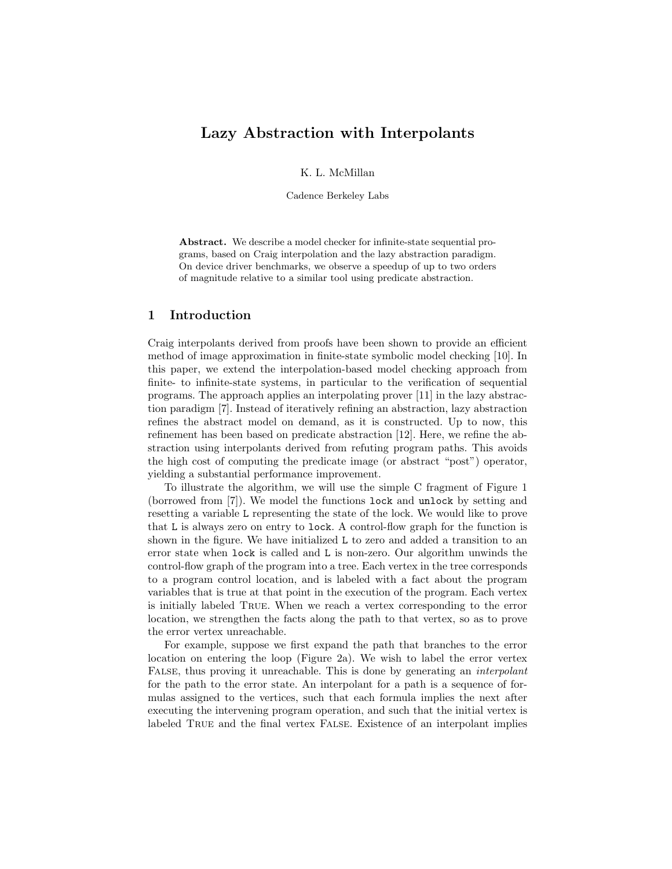# Lazy Abstraction with Interpolants

K. L. McMillan

Cadence Berkeley Labs

Abstract. We describe a model checker for infinite-state sequential programs, based on Craig interpolation and the lazy abstraction paradigm. On device driver benchmarks, we observe a speedup of up to two orders of magnitude relative to a similar tool using predicate abstraction.

### 1 Introduction

Craig interpolants derived from proofs have been shown to provide an efficient method of image approximation in finite-state symbolic model checking [10]. In this paper, we extend the interpolation-based model checking approach from finite- to infinite-state systems, in particular to the verification of sequential programs. The approach applies an interpolating prover [11] in the lazy abstraction paradigm [7]. Instead of iteratively refining an abstraction, lazy abstraction refines the abstract model on demand, as it is constructed. Up to now, this refinement has been based on predicate abstraction [12]. Here, we refine the abstraction using interpolants derived from refuting program paths. This avoids the high cost of computing the predicate image (or abstract "post") operator, yielding a substantial performance improvement.

To illustrate the algorithm, we will use the simple C fragment of Figure 1 (borrowed from [7]). We model the functions lock and unlock by setting and resetting a variable L representing the state of the lock. We would like to prove that L is always zero on entry to lock. A control-flow graph for the function is shown in the figure. We have initialized L to zero and added a transition to an error state when lock is called and L is non-zero. Our algorithm unwinds the control-flow graph of the program into a tree. Each vertex in the tree corresponds to a program control location, and is labeled with a fact about the program variables that is true at that point in the execution of the program. Each vertex is initially labeled True. When we reach a vertex corresponding to the error location, we strengthen the facts along the path to that vertex, so as to prove the error vertex unreachable.

For example, suppose we first expand the path that branches to the error location on entering the loop (Figure 2a). We wish to label the error vertex FALSE, thus proving it unreachable. This is done by generating an *interpolant* for the path to the error state. An interpolant for a path is a sequence of formulas assigned to the vertices, such that each formula implies the next after executing the intervening program operation, and such that the initial vertex is labeled True and the final vertex False. Existence of an interpolant implies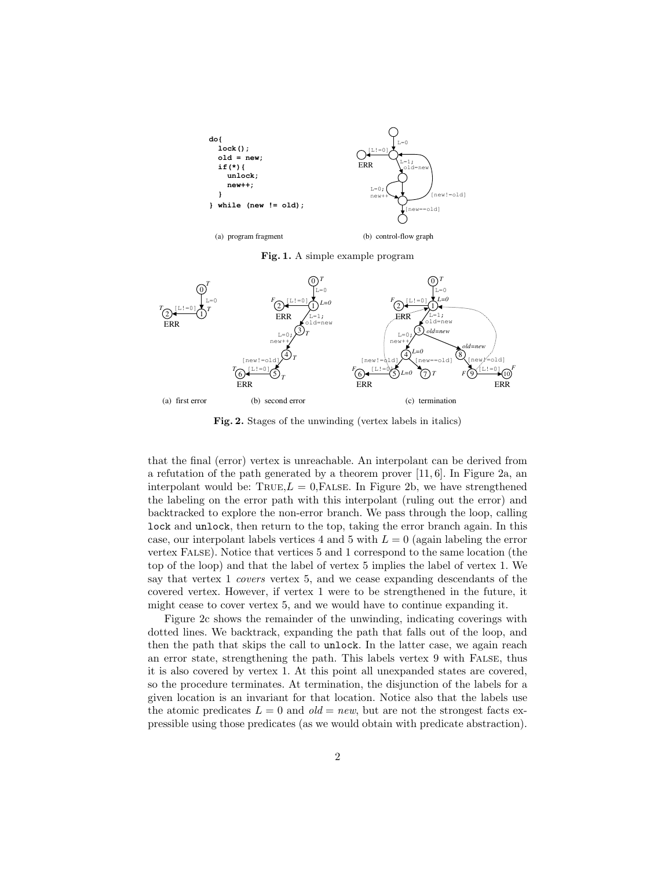

Fig. 1. A simple example program



Fig. 2. Stages of the unwinding (vertex labels in italics)

that the final (error) vertex is unreachable. An interpolant can be derived from a refutation of the path generated by a theorem prover  $[11, 6]$ . In Figure 2a, an interpolant would be:  $TRUE, L = 0$ , FALSE. In Figure 2b, we have strengthened the labeling on the error path with this interpolant (ruling out the error) and backtracked to explore the non-error branch. We pass through the loop, calling lock and unlock, then return to the top, taking the error branch again. In this case, our interpolant labels vertices 4 and 5 with  $L = 0$  (again labeling the error vertex False). Notice that vertices 5 and 1 correspond to the same location (the top of the loop) and that the label of vertex 5 implies the label of vertex 1. We say that vertex 1 covers vertex 5, and we cease expanding descendants of the covered vertex. However, if vertex 1 were to be strengthened in the future, it might cease to cover vertex 5, and we would have to continue expanding it.

Figure 2c shows the remainder of the unwinding, indicating coverings with dotted lines. We backtrack, expanding the path that falls out of the loop, and then the path that skips the call to unlock. In the latter case, we again reach an error state, strengthening the path. This labels vertex 9 with False, thus it is also covered by vertex 1. At this point all unexpanded states are covered, so the procedure terminates. At termination, the disjunction of the labels for a given location is an invariant for that location. Notice also that the labels use the atomic predicates  $L = 0$  and  $\delta d = new$ , but are not the strongest facts expressible using those predicates (as we would obtain with predicate abstraction).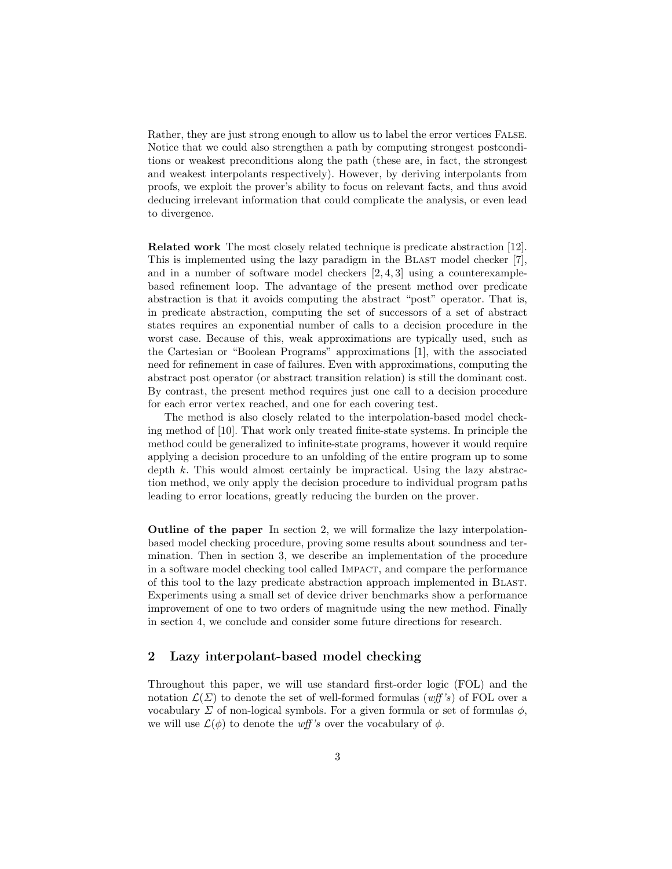Rather, they are just strong enough to allow us to label the error vertices False. Notice that we could also strengthen a path by computing strongest postconditions or weakest preconditions along the path (these are, in fact, the strongest and weakest interpolants respectively). However, by deriving interpolants from proofs, we exploit the prover's ability to focus on relevant facts, and thus avoid deducing irrelevant information that could complicate the analysis, or even lead to divergence.

Related work The most closely related technique is predicate abstraction [12]. This is implemented using the lazy paradigm in the BLAST model checker [7], and in a number of software model checkers [2, 4, 3] using a counterexamplebased refinement loop. The advantage of the present method over predicate abstraction is that it avoids computing the abstract "post" operator. That is, in predicate abstraction, computing the set of successors of a set of abstract states requires an exponential number of calls to a decision procedure in the worst case. Because of this, weak approximations are typically used, such as the Cartesian or "Boolean Programs" approximations [1], with the associated need for refinement in case of failures. Even with approximations, computing the abstract post operator (or abstract transition relation) is still the dominant cost. By contrast, the present method requires just one call to a decision procedure for each error vertex reached, and one for each covering test.

The method is also closely related to the interpolation-based model checking method of [10]. That work only treated finite-state systems. In principle the method could be generalized to infinite-state programs, however it would require applying a decision procedure to an unfolding of the entire program up to some depth  $k$ . This would almost certainly be impractical. Using the lazy abstraction method, we only apply the decision procedure to individual program paths leading to error locations, greatly reducing the burden on the prover.

Outline of the paper In section 2, we will formalize the lazy interpolationbased model checking procedure, proving some results about soundness and termination. Then in section 3, we describe an implementation of the procedure in a software model checking tool called Impact, and compare the performance of this tool to the lazy predicate abstraction approach implemented in Blast. Experiments using a small set of device driver benchmarks show a performance improvement of one to two orders of magnitude using the new method. Finally in section 4, we conclude and consider some future directions for research.

## 2 Lazy interpolant-based model checking

Throughout this paper, we will use standard first-order logic (FOL) and the notation  $\mathcal{L}(\Sigma)$  to denote the set of well-formed formulas (wff's) of FOL over a vocabulary  $\Sigma$  of non-logical symbols. For a given formula or set of formulas  $\phi$ , we will use  $\mathcal{L}(\phi)$  to denote the wff's over the vocabulary of  $\phi$ .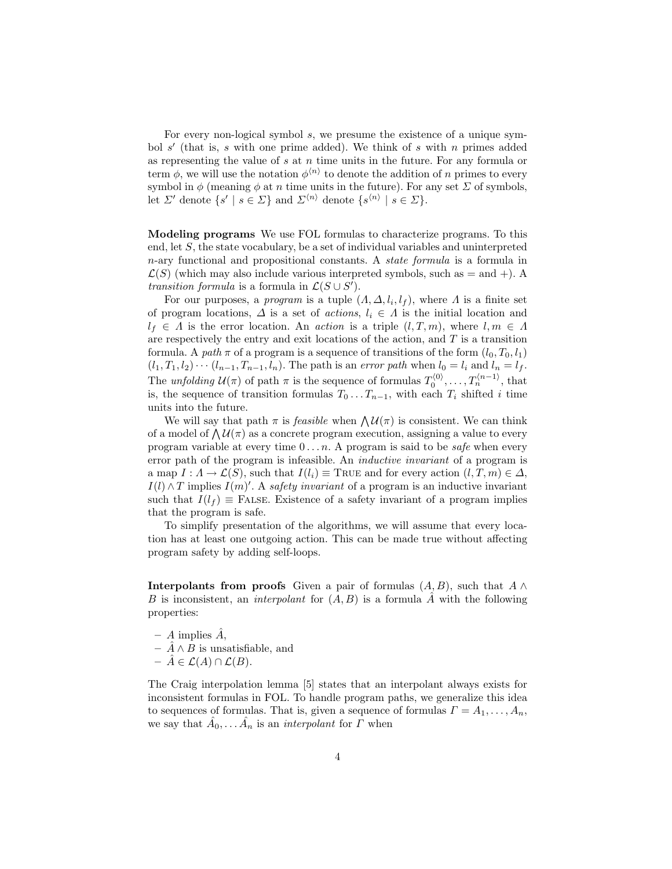For every non-logical symbol s, we presume the existence of a unique symbol  $s'$  (that is, s with one prime added). We think of s with n primes added as representing the value of  $s$  at  $n$  time units in the future. For any formula or term  $\phi$ , we will use the notation  $\phi^{(n)}$  to denote the addition of n primes to every symbol in  $\phi$  (meaning  $\phi$  at *n* time units in the future). For any set  $\Sigma$  of symbols, let  $\Sigma'$  denote  $\{s' \mid s \in \Sigma\}$  and  $\Sigma^{\langle n \rangle}$  denote  $\{s^{\langle n \rangle} \mid s \in \Sigma\}$ .

Modeling programs We use FOL formulas to characterize programs. To this end, let S, the state vocabulary, be a set of individual variables and uninterpreted  $n$ -ary functional and propositional constants. A *state formula* is a formula in  $\mathcal{L}(S)$  (which may also include various interpreted symbols, such as  $=$  and  $+$ ). A transition formula is a formula in  $\mathcal{L}(S \cup S')$ .

For our purposes, a *program* is a tuple  $(A, \Delta, l_i, l_f)$ , where  $\Lambda$  is a finite set of program locations,  $\Delta$  is a set of *actions*,  $l_i \in \Lambda$  is the initial location and  $l_f \in \Lambda$  is the error location. An *action* is a triple  $(l, T, m)$ , where  $l, m \in \Lambda$ are respectively the entry and exit locations of the action, and  $T$  is a transition formula. A path  $\pi$  of a program is a sequence of transitions of the form  $(l_0, T_0, l_1)$  $(l_1, T_1, l_2) \cdots (l_{n-1}, T_{n-1}, l_n)$ . The path is an *error path* when  $l_0 = l_i$  and  $l_n = l_f$ . The *unfolding*  $\mathcal{U}(\pi)$  of path  $\pi$  is the sequence of formulas  $T_0^{(0)}, \ldots, T_n^{(n-1)}$ , that is, the sequence of transition formulas  $T_0 \ldots T_{n-1}$ , with each  $T_i$  shifted i time units into the future.

We will say that path  $\pi$  is *feasible* when  $\Lambda \mathcal{U}(\pi)$  is consistent. We can think of a model of  $\Lambda \mathcal{U}(\pi)$  as a concrete program execution, assigning a value to every program variable at every time  $0 \ldots n$ . A program is said to be *safe* when every error path of the program is infeasible. An inductive invariant of a program is a map  $I: \Lambda \to \mathcal{L}(S)$ , such that  $I(l_i) \equiv \text{TRUE}$  and for every action  $(l, T, m) \in \Delta$ ,  $I(l) \wedge T$  implies  $I(m)'$ . A safety invariant of a program is an inductive invariant such that  $I(l_f) \equiv$  FALSE. Existence of a safety invariant of a program implies that the program is safe.

To simplify presentation of the algorithms, we will assume that every location has at least one outgoing action. This can be made true without affecting program safety by adding self-loops.

Interpolants from proofs Given a pair of formulas  $(A, B)$ , such that  $A \wedge$ B is inconsistent, an *interpolant* for  $(A, B)$  is a formula A with the following properties:

- A implies  $\hat{A}$ ,
- $\hat{A} \wedge B$  is unsatisfiable, and
- $A \in \mathcal{L}(A) \cap \mathcal{L}(B).$

The Craig interpolation lemma [5] states that an interpolant always exists for inconsistent formulas in FOL. To handle program paths, we generalize this idea to sequences of formulas. That is, given a sequence of formulas  $\Gamma = A_1, \ldots, A_n$ , we say that  $\hat{A}_0, \ldots, \hat{A}_n$  is an *interpolant* for  $\Gamma$  when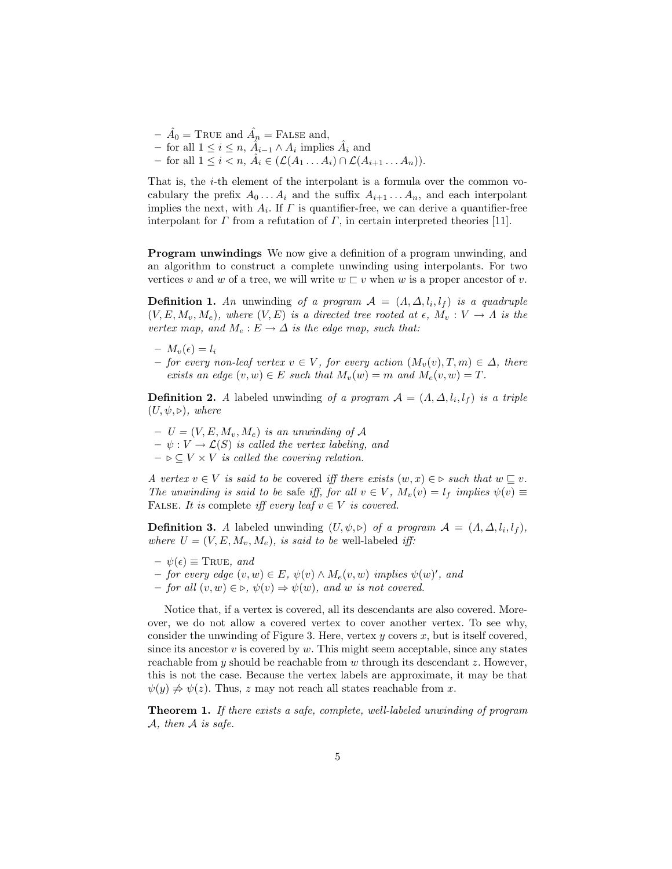- $-\hat{A}_0 = \text{TRUE}$  and  $\hat{A}_n = \text{FALSE}$  and,
- − for all  $1 \leq i \leq n$ ,  $\hat{A}_{i-1} \wedge A_i$  implies  $\hat{A}_i$  and
- $-$  for all  $1 \leq i < n$ ,  $\hat{A}_i \in (\mathcal{L}(A_1 \ldots A_i) \cap \mathcal{L}(A_{i+1} \ldots A_n)).$

That is, the  $i$ -th element of the interpolant is a formula over the common vocabulary the prefix  $A_0 \ldots A_i$  and the suffix  $A_{i+1} \ldots A_n$ , and each interpolant implies the next, with  $A_i$ . If  $\Gamma$  is quantifier-free, we can derive a quantifier-free interpolant for  $\Gamma$  from a refutation of  $\Gamma$ , in certain interpreted theories [11].

Program unwindings We now give a definition of a program unwinding, and an algorithm to construct a complete unwinding using interpolants. For two vertices v and w of a tree, we will write  $w \nightharpoonup v$  when w is a proper ancestor of v.

**Definition 1.** An unwinding of a program  $A = (A, \Delta, l_i, l_f)$  is a quadruple  $(V, E, M_v, M_e)$ , where  $(V, E)$  is a directed tree rooted at  $\epsilon, M_v : V \to A$  is the vertex map, and  $M_e : E \to \Delta$  is the edge map, such that:

- $-M_v(\epsilon) = l_i$
- for every non-leaf vertex  $v \in V$ , for every action  $(M_v(v), T, m) \in \Delta$ , there exists an edge  $(v, w) \in E$  such that  $M_v(w) = m$  and  $M_e(v, w) = T$ .

**Definition 2.** A labeled unwinding of a program  $A = (A, \Delta, l_i, l_f)$  is a triple  $(U, \psi, \triangleright),$  where

 $-U = (V, E, M_v, M_e)$  is an unwinding of A  $- \psi : V \to \mathcal{L}(S)$  is called the vertex labeling, and  $- \triangleright \subseteq V \times V$  is called the covering relation.

A vertex  $v \in V$  is said to be covered iff there exists  $(w, x) \in \triangleright$  such that  $w \sqsubseteq v$ . The unwinding is said to be safe iff, for all  $v \in V$ ,  $M_v(v) = l_f$  implies  $\psi(v) \equiv$ FALSE. It is complete iff every leaf  $v \in V$  is covered.

**Definition 3.** A labeled unwinding  $(U, \psi, \triangleright)$  of a program  $\mathcal{A} = (A, \Delta, l_i, l_f)$ , where  $U = (V, E, M_v, M_e)$ , is said to be well-labeled iff:

- $\psi(\epsilon) \equiv \text{TRUE}, \text{ and}$
- $-$  for every edge  $(v, w) \in E$ ,  $\psi(v) \wedge M_e(v, w)$  implies  $\psi(w)'$ , and
- $-$  for all  $(v, w) \in \mathcal{P}, \psi(v) \Rightarrow \psi(w)$ , and w is not covered.

Notice that, if a vertex is covered, all its descendants are also covered. Moreover, we do not allow a covered vertex to cover another vertex. To see why, consider the unwinding of Figure 3. Here, vertex  $y$  covers  $x$ , but is itself covered, since its ancestor  $v$  is covered by  $w$ . This might seem acceptable, since any states reachable from  $y$  should be reachable from  $w$  through its descendant  $z$ . However, this is not the case. Because the vertex labels are approximate, it may be that  $\psi(y) \nightharpoonup \psi(z)$ . Thus, z may not reach all states reachable from x.

Theorem 1. If there exists a safe, complete, well-labeled unwinding of program A, then A is safe.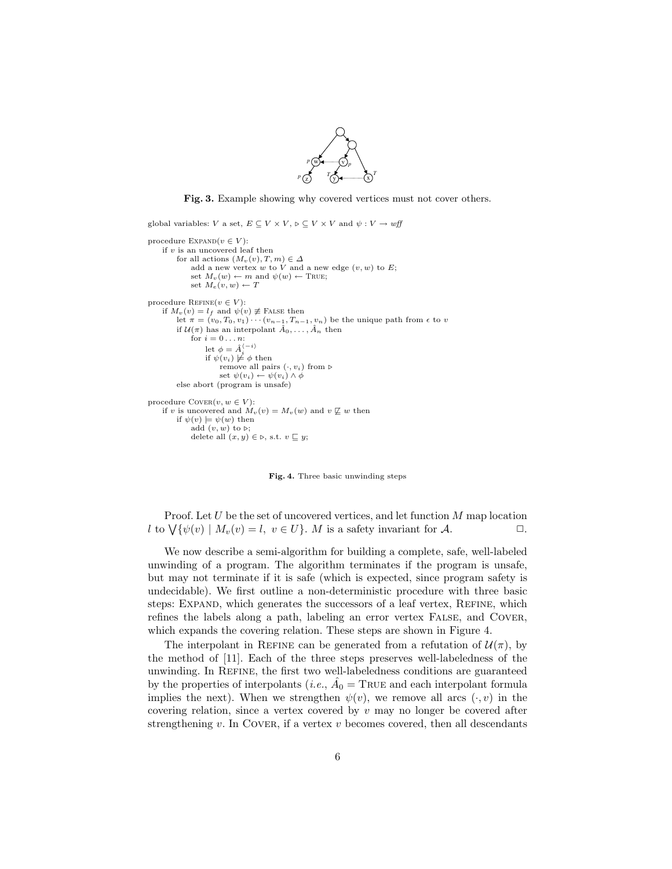

Fig. 3. Example showing why covered vertices must not cover others.

```
global variables: V a set, E \subseteq V \times V, \rhd \subseteq V \times V and \psi : V \to w\bar{f}fprocedure \text{EXPAND}(v \in V):
     if v is an uncovered leaf then
           for all actions (M_v(v), T, m) \in \Delta<br>add a new vertex w to V and a new edge (v, w) to E;
                set M_v(w) \leftarrow m and \psi(w) \leftarrow \text{TRUE};set M_e(v, w) \leftarrow Tprocedure REFINE(v \in V):
     if M_v(v) = l_f and \psi(v) \not\equiv FALSE then
          let \pi = (v_0, T_0, v_1) \cdots (v_{n-1}, T_{n-1}, v_n) be the unique path from \epsilon to v
          if \mathcal{U}(\pi) has an interpolant \hat{A}_0, \ldots, \hat{A}_n then
                for i = 0 \ldots n:
                      let \phi = \hat{A}_i^{\langle -i \rangle}if \psi(v_i) \not\models \phi then
                           remove all pairs (\cdot, v_i) from \trianglerightset \psi(v_i) \leftarrow \psi(v_i) \wedge \phielse abort (program is unsafe)
procedure \text{Cover}(v, w \in V):
     if v is uncovered and M_v(v) = M_v(w) and v \not\sqsubseteq w then
          if \psi(v) \models \psi(w) then
                add (v, w) to \triangleright;
                delete all (x, y) \in \triangleright, s.t. v \sqsubseteq y;
```
Fig. 4. Three basic unwinding steps

Proof. Let U be the set of uncovered vertices, and let function  $M$  map location l to  $\bigvee \{ \psi(v) \mid M_v(v) = l, v \in U \}.$  M is a safety invariant for A.  $\Box$ .

We now describe a semi-algorithm for building a complete, safe, well-labeled unwinding of a program. The algorithm terminates if the program is unsafe, but may not terminate if it is safe (which is expected, since program safety is undecidable). We first outline a non-deterministic procedure with three basic steps: EXPAND, which generates the successors of a leaf vertex, REFINE, which refines the labels along a path, labeling an error vertex False, and Cover, which expands the covering relation. These steps are shown in Figure 4.

The interpolant in REFINE can be generated from a refutation of  $\mathcal{U}(\pi)$ , by the method of [11]. Each of the three steps preserves well-labeledness of the unwinding. In Refine, the first two well-labeledness conditions are guaranteed by the properties of interpolants (*i.e.*,  $\hat{A}_0 = \text{TRUE}$  and each interpolant formula implies the next). When we strengthen  $\psi(v)$ , we remove all arcs  $(\cdot, v)$  in the covering relation, since a vertex covered by  $v$  may no longer be covered after strengthening  $v$ . In COVER, if a vertex  $v$  becomes covered, then all descendants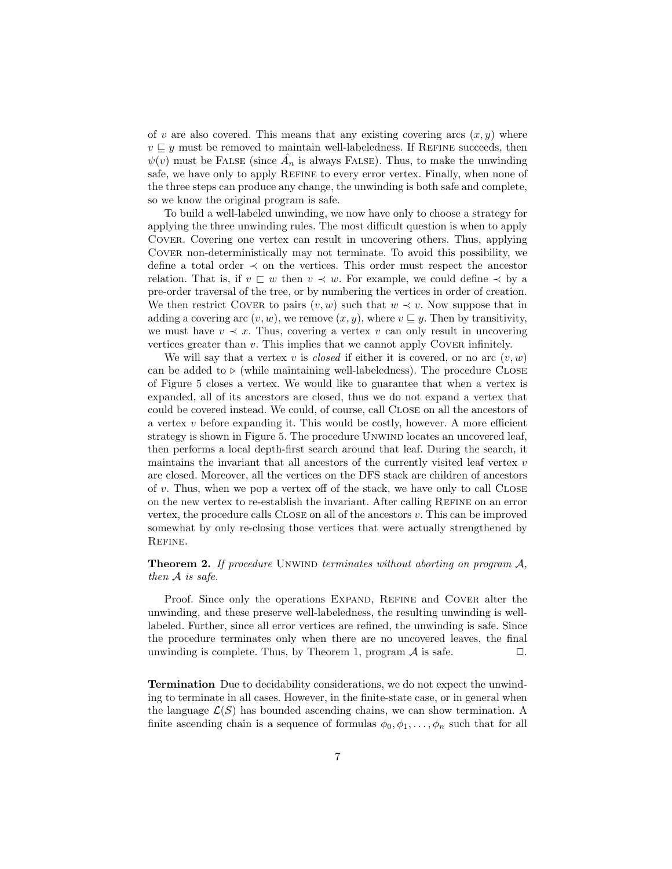of v are also covered. This means that any existing covering arcs  $(x, y)$  where  $v \sqsubseteq y$  must be removed to maintain well-labeledness. If REFINE succeeds, then  $\psi(v)$  must be FALSE (since  $\hat{A}_n$  is always FALSE). Thus, to make the unwinding safe, we have only to apply Refine to every error vertex. Finally, when none of the three steps can produce any change, the unwinding is both safe and complete, so we know the original program is safe.

To build a well-labeled unwinding, we now have only to choose a strategy for applying the three unwinding rules. The most difficult question is when to apply Cover. Covering one vertex can result in uncovering others. Thus, applying Cover non-deterministically may not terminate. To avoid this possibility, we define a total order  $\prec$  on the vertices. This order must respect the ancestor relation. That is, if  $v \subseteq w$  then  $v \prec w$ . For example, we could define  $\prec$  by a pre-order traversal of the tree, or by numbering the vertices in order of creation. We then restrict COVER to pairs  $(v, w)$  such that  $w \prec v$ . Now suppose that in adding a covering arc  $(v, w)$ , we remove  $(x, y)$ , where  $v \subseteq y$ . Then by transitivity, we must have  $v \prec x$ . Thus, covering a vertex v can only result in uncovering vertices greater than  $v$ . This implies that we cannot apply COVER infinitely.

We will say that a vertex v is *closed* if either it is covered, or no arc  $(v, w)$ can be added to  $\triangleright$  (while maintaining well-labeledness). The procedure CLOSE of Figure 5 closes a vertex. We would like to guarantee that when a vertex is expanded, all of its ancestors are closed, thus we do not expand a vertex that could be covered instead. We could, of course, call Close on all the ancestors of a vertex  $v$  before expanding it. This would be costly, however. A more efficient strategy is shown in Figure 5. The procedure UNWIND locates an uncovered leaf, then performs a local depth-first search around that leaf. During the search, it maintains the invariant that all ancestors of the currently visited leaf vertex  $v$ are closed. Moreover, all the vertices on the DFS stack are children of ancestors of v. Thus, when we pop a vertex off of the stack, we have only to call  $\text{CLOSE}$ on the new vertex to re-establish the invariant. After calling Refine on an error vertex, the procedure calls CLOSE on all of the ancestors  $v$ . This can be improved somewhat by only re-closing those vertices that were actually strengthened by Refine.

#### **Theorem 2.** If procedure UNWIND terminates without aborting on program  $A$ . then  $A$  is safe.

Proof. Since only the operations EXPAND, REFINE and COVER alter the unwinding, and these preserve well-labeledness, the resulting unwinding is welllabeled. Further, since all error vertices are refined, the unwinding is safe. Since the procedure terminates only when there are no uncovered leaves, the final unwinding is complete. Thus, by Theorem 1, program  $\mathcal A$  is safe.  $\Box$ .

Termination Due to decidability considerations, we do not expect the unwinding to terminate in all cases. However, in the finite-state case, or in general when the language  $\mathcal{L}(S)$  has bounded ascending chains, we can show termination. A finite ascending chain is a sequence of formulas  $\phi_0, \phi_1, \ldots, \phi_n$  such that for all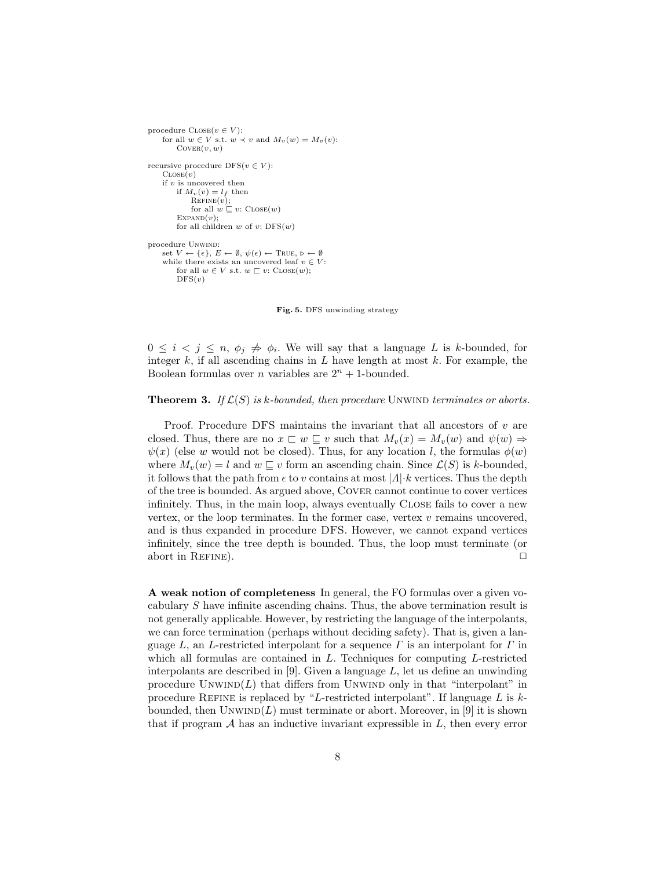```
procedure \text{Close}(v \in V):
     for all w \in V s.t. w \prec v and M_v(w) = M_v(v):
          CovER(v, w)recursive procedure DFS(v \in V):
     C_{\text{LOSE}}(v)if v is uncovered then
          if M_v(v) = l_f then
               \widetilde{\mathrm{REFINE}}(v);for all w \sqsubseteq v: CLOSE(w)\text{EXPAND}(v);for all children w of v: DFS(w)procedure Unwind:
     set V \leftarrow \{\epsilon\},\, E \leftarrow \emptyset,\, \psi(\epsilon) \leftarrow \texttt{TRUE},\, \triangleright \leftarrow \emptysetwhile there exists an uncovered leaf v \in V:
          for all w \in V s.t. w \sqsubset v: CLOSE(w);
          DFS(v)
```
Fig. 5. DFS unwinding strategy

 $0 \leq i \leq j \leq n, \phi_j \neq \phi_i$ . We will say that a language L is k-bounded, for integer  $k$ , if all ascending chains in  $L$  have length at most  $k$ . For example, the Boolean formulas over *n* variables are  $2^n + 1$ -bounded.

**Theorem 3.** If  $\mathcal{L}(S)$  is k-bounded, then procedure UNWIND terminates or aborts.

Proof. Procedure DFS maintains the invariant that all ancestors of  $v$  are closed. Thus, there are no  $x \subseteq w \subseteq v$  such that  $M_v(x) = M_v(w)$  and  $\psi(w) \Rightarrow$  $\psi(x)$  (else w would not be closed). Thus, for any location l, the formulas  $\phi(w)$ where  $M_v(w) = l$  and  $w \sqsubseteq v$  form an ascending chain. Since  $\mathcal{L}(S)$  is k-bounded, it follows that the path from  $\epsilon$  to v contains at most  $|A| \cdot k$  vertices. Thus the depth of the tree is bounded. As argued above, Cover cannot continue to cover vertices infinitely. Thus, in the main loop, always eventually Close fails to cover a new vertex, or the loop terminates. In the former case, vertex  $v$  remains uncovered, and is thus expanded in procedure DFS. However, we cannot expand vertices infinitely, since the tree depth is bounded. Thus, the loop must terminate (or abort in REFINE).  $\Box$ 

A weak notion of completeness In general, the FO formulas over a given vocabulary S have infinite ascending chains. Thus, the above termination result is not generally applicable. However, by restricting the language of the interpolants, we can force termination (perhaps without deciding safety). That is, given a language L, an L-restricted interpolant for a sequence  $\Gamma$  is an interpolant for  $\Gamma$  in which all formulas are contained in  $L$ . Techniques for computing  $L$ -restricted interpolants are described in  $[9]$ . Given a language L, let us define an unwinding procedure UNWIND $(L)$  that differs from UNWIND only in that "interpolant" in procedure REFINE is replaced by "L-restricted interpolant". If language  $L$  is  $k$ bounded, then  $\text{UNWIND}(L)$  must terminate or abort. Moreover, in [9] it is shown that if program  $A$  has an inductive invariant expressible in  $L$ , then every error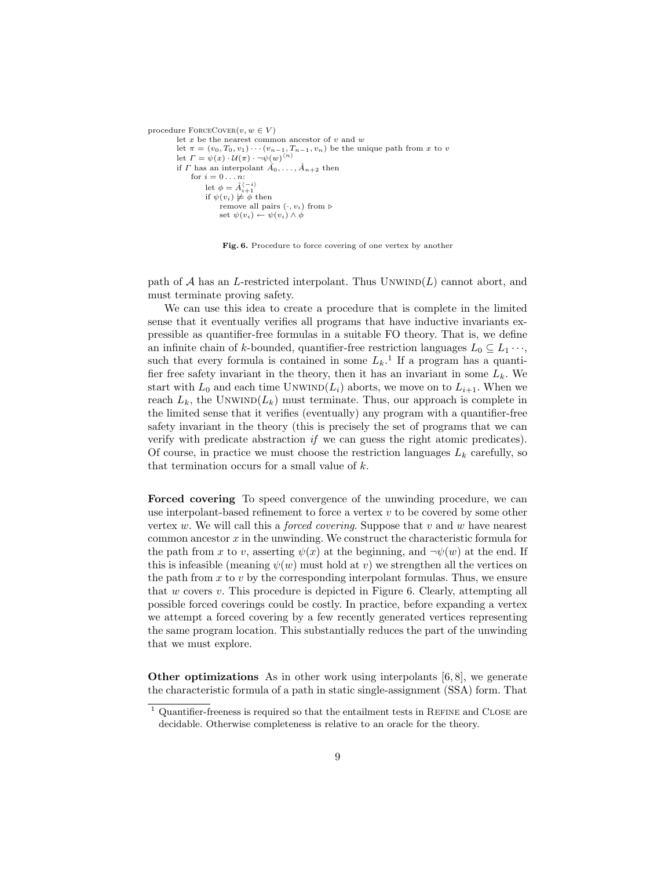```
procedure \text{ForceCover}(v, w \in V)let x be the nearest common ancestor of v and wlet \pi = (v_0, T_0, v_1) \cdots (v_{n-1}, T_{n-1}, v_n) be the unique path from x to v
            let \Gamma = \psi(x) \cdot \mathcal{U}(\pi) \cdot \neg \psi(w)^{\langle n \rangle}if \Gamma has an interpolant \hat{A}_0, \ldots, \hat{A}_{n+2} then
                 for i = 0 \ldots n:
                        let \phi = \hat{A}_{i+1}^{\langle -i \rangle}if \psi(v_i) \not\models \phi then
                             remove all pairs (\cdot, v_i) from \trianglerightset \psi(v_i) \leftarrow \psi(v_i) \wedge \phi
```
Fig. 6. Procedure to force covering of one vertex by another

path of  $A$  has an L-restricted interpolant. Thus UNWIND(L) cannot abort, and must terminate proving safety.

We can use this idea to create a procedure that is complete in the limited sense that it eventually verifies all programs that have inductive invariants expressible as quantifier-free formulas in a suitable FO theory. That is, we define an infinite chain of k-bounded, quantifier-free restriction languages  $L_0 \subseteq L_1 \cdots$ , such that every formula is contained in some  $L_k$ .<sup>1</sup> If a program has a quantifier free safety invariant in the theory, then it has an invariant in some  $L_k$ . We start with  $L_0$  and each time UNWIND( $L_i$ ) aborts, we move on to  $L_{i+1}$ . When we reach  $L_k$ , the UNWIND( $L_k$ ) must terminate. Thus, our approach is complete in the limited sense that it verifies (eventually) any program with a quantifier-free safety invariant in the theory (this is precisely the set of programs that we can verify with predicate abstraction if we can guess the right atomic predicates). Of course, in practice we must choose the restriction languages  $L_k$  carefully, so that termination occurs for a small value of k.

Forced covering To speed convergence of the unwinding procedure, we can use interpolant-based refinement to force a vertex  $v$  to be covered by some other vertex  $w$ . We will call this a *forced covering*. Suppose that  $v$  and  $w$  have nearest common ancestor x in the unwinding. We construct the characteristic formula for the path from x to v, asserting  $\psi(x)$  at the beginning, and  $\neg \psi(w)$  at the end. If this is infeasible (meaning  $\psi(w)$  must hold at v) we strengthen all the vertices on the path from  $x$  to  $v$  by the corresponding interpolant formulas. Thus, we ensure that  $w$  covers  $v$ . This procedure is depicted in Figure 6. Clearly, attempting all possible forced coverings could be costly. In practice, before expanding a vertex we attempt a forced covering by a few recently generated vertices representing the same program location. This substantially reduces the part of the unwinding that we must explore.

**Other optimizations** As in other work using interpolants  $[6, 8]$ , we generate the characteristic formula of a path in static single-assignment (SSA) form. That

 $1$  Quantifier-freeness is required so that the entailment tests in REFINE and CLOSE are decidable. Otherwise completeness is relative to an oracle for the theory.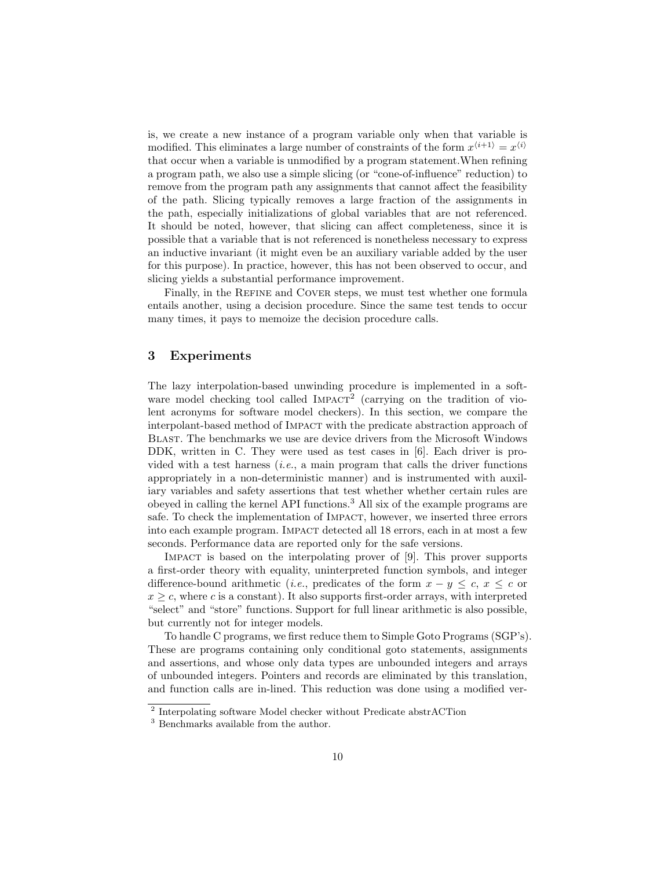is, we create a new instance of a program variable only when that variable is modified. This eliminates a large number of constraints of the form  $x^{(i+1)} = x^{(i)}$ that occur when a variable is unmodified by a program statement.When refining a program path, we also use a simple slicing (or "cone-of-influence" reduction) to remove from the program path any assignments that cannot affect the feasibility of the path. Slicing typically removes a large fraction of the assignments in the path, especially initializations of global variables that are not referenced. It should be noted, however, that slicing can affect completeness, since it is possible that a variable that is not referenced is nonetheless necessary to express an inductive invariant (it might even be an auxiliary variable added by the user for this purpose). In practice, however, this has not been observed to occur, and slicing yields a substantial performance improvement.

Finally, in the REFINE and COVER steps, we must test whether one formula entails another, using a decision procedure. Since the same test tends to occur many times, it pays to memoize the decision procedure calls.

# 3 Experiments

The lazy interpolation-based unwinding procedure is implemented in a software model checking tool called  $IMPACT<sup>2</sup>$  (carrying on the tradition of violent acronyms for software model checkers). In this section, we compare the interpolant-based method of Impact with the predicate abstraction approach of Blast. The benchmarks we use are device drivers from the Microsoft Windows DDK, written in C. They were used as test cases in [6]. Each driver is provided with a test harness  $(i.e., a main program that calls the driver functions$ appropriately in a non-deterministic manner) and is instrumented with auxiliary variables and safety assertions that test whether whether certain rules are obeyed in calling the kernel API functions.<sup>3</sup> All six of the example programs are safe. To check the implementation of Impact, however, we inserted three errors into each example program. IMPACT detected all 18 errors, each in at most a few seconds. Performance data are reported only for the safe versions.

Impact is based on the interpolating prover of [9]. This prover supports a first-order theory with equality, uninterpreted function symbols, and integer difference-bound arithmetic (*i.e.*, predicates of the form  $x - y \leq c$ ,  $x \leq c$  or  $x > c$ , where c is a constant). It also supports first-order arrays, with interpreted "select" and "store" functions. Support for full linear arithmetic is also possible, but currently not for integer models.

To handle C programs, we first reduce them to Simple Goto Programs (SGP's). These are programs containing only conditional goto statements, assignments and assertions, and whose only data types are unbounded integers and arrays of unbounded integers. Pointers and records are eliminated by this translation, and function calls are in-lined. This reduction was done using a modified ver-

<sup>&</sup>lt;sup>2</sup> Interpolating software Model checker without Predicate abstrACTion

<sup>3</sup> Benchmarks available from the author.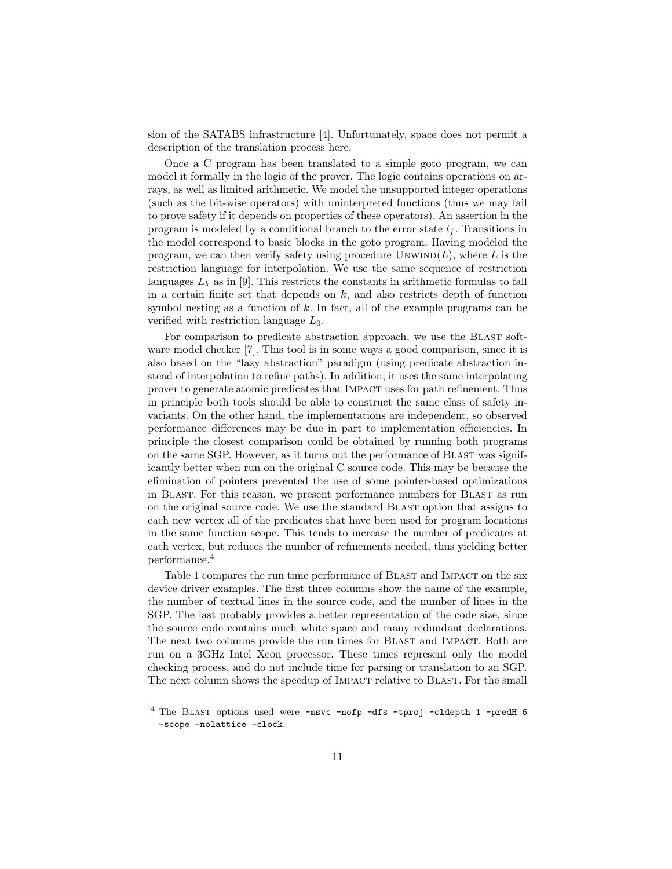sion of the SATABS infrastructure [4]. Unfortunately, space does not permit a description of the translation process here.

Once a C program has been translated to a simple goto program, we can model it formally in the logic of the prover. The logic contains operations on arrays, as well as limited arithmetic. We model the unsupported integer operations (such as the bit-wise operators) with uninterpreted functions (thus we may fail to prove safety if it depends on properties of these operators). An assertion in the program is modeled by a conditional branch to the error state  $l_f$ . Transitions in the model correspond to basic blocks in the goto program. Having modeled the program, we can then verify safety using procedure  $\text{UNWIND}(L)$ , where L is the restriction language for interpolation. We use the same sequence of restriction languages  $L_k$  as in [9]. This restricts the constants in arithmetic formulas to fall in a certain finite set that depends on  $k$ , and also restricts depth of function symbol nesting as a function of  $k$ . In fact, all of the example programs can be verified with restriction language  $L_0$ .

For comparison to predicate abstraction approach, we use the BLAST software model checker [7]. This tool is in some ways a good comparison, since it is also based on the "lazy abstraction" paradigm (using predicate abstraction instead of interpolation to refine paths). In addition, it uses the same interpolating prover to generate atomic predicates that Impact uses for path refinement. Thus in principle both tools should be able to construct the same class of safety invariants. On the other hand, the implementations are independent, so observed performance differences may be due in part to implementation efficiencies. In principle the closest comparison could be obtained by running both programs on the same SGP. However, as it turns out the performance of Blast was significantly better when run on the original C source code. This may be because the elimination of pointers prevented the use of some pointer-based optimizations in Blast. For this reason, we present performance numbers for Blast as run on the original source code. We use the standard Blast option that assigns to each new vertex all of the predicates that have been used for program locations in the same function scope. This tends to increase the number of predicates at each vertex, but reduces the number of refinements needed, thus yielding better performance.<sup>4</sup>

Table 1 compares the run time performance of BLAST and IMPACT on the six device driver examples. The first three columns show the name of the example, the number of textual lines in the source code, and the number of lines in the SGP. The last probably provides a better representation of the code size, since the source code contains much white space and many redundant declarations. The next two columns provide the run times for BLAST and IMPACT. Both are run on a 3GHz Intel Xeon processor. These times represent only the model checking process, and do not include time for parsing or translation to an SGP. The next column shows the speedup of IMPACT relative to BLAST. For the small

<sup>4</sup> The Blast options used were -msvc -nofp -dfs -tproj -cldepth 1 -predH 6 -scope -nolattice -clock.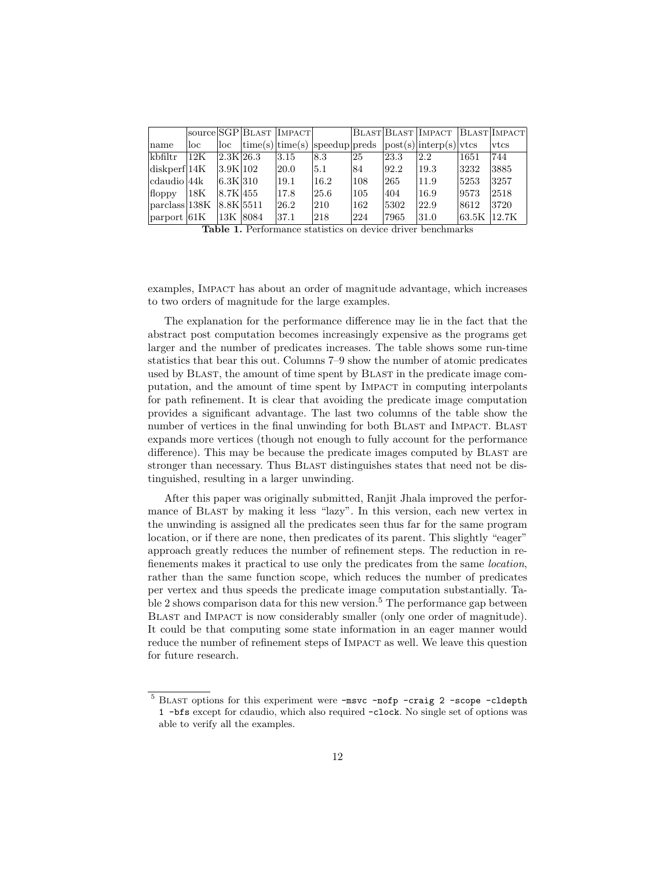|                                                         |              |           |            | Source SGP BLAST IMPACT |      |     |      | BLAST BLAST IMPACT BLAST IMPACT                                     |             |      |
|---------------------------------------------------------|--------------|-----------|------------|-------------------------|------|-----|------|---------------------------------------------------------------------|-------------|------|
| name                                                    | $_{\rm loc}$ | lloc-     |            |                         |      |     |      | $ \text{time}(s) $ time(s) speedup preds $ post(s) $ interp(s) vtcs |             | vtcs |
| kbfiltr                                                 | 12K          | 2.3K 26.3 |            | 3.15                    | 8.3  | 25  | 23.3 | 2.2                                                                 | 1651        | 744  |
| $\rm diskperf14K$                                       |              | 3.9K 102  |            | 20.0                    | 5.1  | 84  | 92.2 | 19.3                                                                | 3232        | 3885 |
| cdaudio 44k                                             |              | 6.3K 310  |            | 19.1                    | 16.2 | 108 | 265  | 11.9                                                                | 5253        | 3257 |
| floppy                                                  | 18K          | 8.7K 455  |            | 17.8                    | 25.6 | 105 | 404  | 16.9                                                                | 9573        | 2518 |
| $\vert$ parclass $\vert$ 138K $\vert$ 8.8K $\vert$ 5511 |              |           |            | $ 26.2\rangle$          | 210  | 162 | 5302 | 22.9                                                                | 8612        | 3720 |
| $\vert$ parport $\vert$ 61K                             |              |           | 13K   8084 | 37.1                    | 218  | 224 | 7965 | 31.0                                                                | 63.5K 12.7K |      |

Table 1. Performance statistics on device driver benchmarks

examples, Impact has about an order of magnitude advantage, which increases to two orders of magnitude for the large examples.

The explanation for the performance difference may lie in the fact that the abstract post computation becomes increasingly expensive as the programs get larger and the number of predicates increases. The table shows some run-time statistics that bear this out. Columns 7–9 show the number of atomic predicates used by BLAST, the amount of time spent by BLAST in the predicate image computation, and the amount of time spent by IMPACT in computing interpolants for path refinement. It is clear that avoiding the predicate image computation provides a significant advantage. The last two columns of the table show the number of vertices in the final unwinding for both BLAST and IMPACT. BLAST expands more vertices (though not enough to fully account for the performance difference). This may be because the predicate images computed by BLAST are stronger than necessary. Thus BLAST distinguishes states that need not be distinguished, resulting in a larger unwinding.

After this paper was originally submitted, Ranjit Jhala improved the performance of Blast by making it less "lazy". In this version, each new vertex in the unwinding is assigned all the predicates seen thus far for the same program location, or if there are none, then predicates of its parent. This slightly "eager" approach greatly reduces the number of refinement steps. The reduction in refienements makes it practical to use only the predicates from the same location, rather than the same function scope, which reduces the number of predicates per vertex and thus speeds the predicate image computation substantially. Table 2 shows comparison data for this new version.<sup>5</sup> The performance gap between Blast and Impact is now considerably smaller (only one order of magnitude). It could be that computing some state information in an eager manner would reduce the number of refinement steps of IMPACT as well. We leave this question for future research.

<sup>5</sup> Blast options for this experiment were -msvc -nofp -craig 2 -scope -cldepth 1 -bfs except for cdaudio, which also required -clock. No single set of options was able to verify all the examples.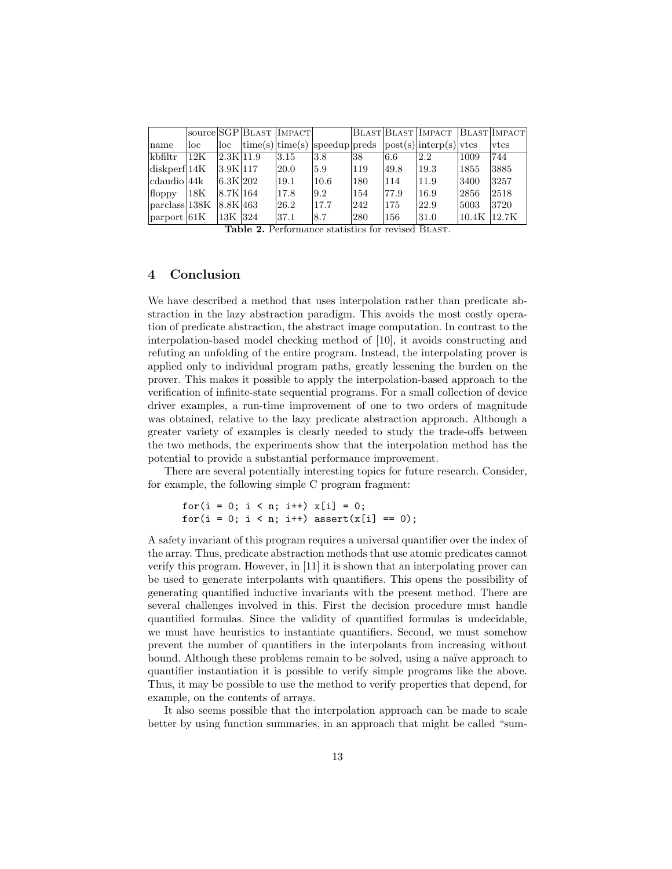|                                |       |           | Source SGP BLAST IMPACT |      |     |      | BLAST BLAST IMPACT BLAST IMPACT                                     |              |      |
|--------------------------------|-------|-----------|-------------------------|------|-----|------|---------------------------------------------------------------------|--------------|------|
| name                           | lloc- | 'loc      |                         |      |     |      | $ \text{time}(s) $ time(s) speedup preds $ post(s) $ interp(s) vtcs |              | vtcs |
| kbfiltr                        | 12K   | 2.3K 11.9 | 3.15                    | 3.8  | 38  | 6.6  | 2.2                                                                 | 1009         | 744  |
| $\rm diskperf14K$              |       | 3.9K 117  | 20.0                    | 5.9  | 119 | 49.8 | 19.3                                                                | 1855         | 3885 |
| cdaudio 44k                    |       | 6.3K 202  | 19.1                    | 10.6 | 180 | 114  | 11.9                                                                | 3400         | 3257 |
| <b>Hoppy</b>                   | 18K   | 8.7K 164  | 17.8                    | 9.2  | 154 | 77.9 | 16.9                                                                | 2856         | 2518 |
| $\vert$ parclass 138K 8.8K 463 |       |           | 26.2                    | 17.7 | 242 | 175  | 22.9                                                                | 5003         | 3720 |
| $\vert$ parport $\vert$ 61K    |       | 13K 324   | 37.1                    | 8.7  | 280 | 156  | 31.0                                                                | 10.4K  12.7K |      |

Table 2. Performance statistics for revised BLAST.

## 4 Conclusion

We have described a method that uses interpolation rather than predicate abstraction in the lazy abstraction paradigm. This avoids the most costly operation of predicate abstraction, the abstract image computation. In contrast to the interpolation-based model checking method of [10], it avoids constructing and refuting an unfolding of the entire program. Instead, the interpolating prover is applied only to individual program paths, greatly lessening the burden on the prover. This makes it possible to apply the interpolation-based approach to the verification of infinite-state sequential programs. For a small collection of device driver examples, a run-time improvement of one to two orders of magnitude was obtained, relative to the lazy predicate abstraction approach. Although a greater variety of examples is clearly needed to study the trade-offs between the two methods, the experiments show that the interpolation method has the potential to provide a substantial performance improvement.

There are several potentially interesting topics for future research. Consider, for example, the following simple C program fragment:

for(i = 0; i < n; i++)  $x[i] = 0$ ; for(i = 0; i < n; i++) assert(x[i] == 0);

A safety invariant of this program requires a universal quantifier over the index of the array. Thus, predicate abstraction methods that use atomic predicates cannot verify this program. However, in [11] it is shown that an interpolating prover can be used to generate interpolants with quantifiers. This opens the possibility of generating quantified inductive invariants with the present method. There are several challenges involved in this. First the decision procedure must handle quantified formulas. Since the validity of quantified formulas is undecidable, we must have heuristics to instantiate quantifiers. Second, we must somehow prevent the number of quantifiers in the interpolants from increasing without bound. Although these problems remain to be solved, using a naïve approach to quantifier instantiation it is possible to verify simple programs like the above. Thus, it may be possible to use the method to verify properties that depend, for example, on the contents of arrays.

It also seems possible that the interpolation approach can be made to scale better by using function summaries, in an approach that might be called "sum